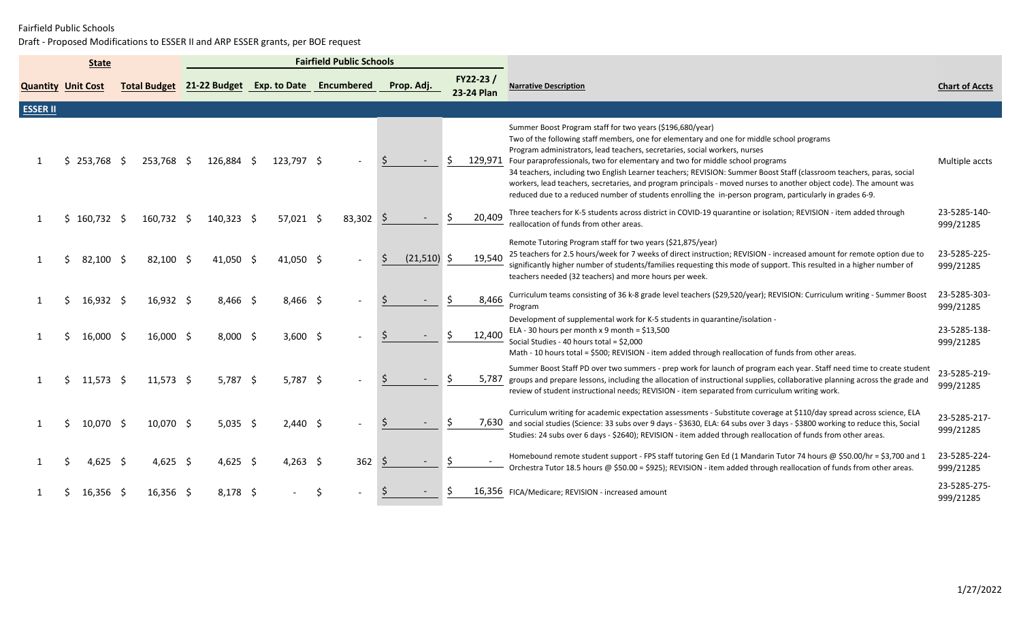|                           | <b>State</b>  |                     |                                      |                            | <b>Fairfield Public Schools</b> |              |            |                          |                                                                                                                                                                                                                                                                                                                                                                                                                                                                                                                                                                                                                                                                                 |                           |
|---------------------------|---------------|---------------------|--------------------------------------|----------------------------|---------------------------------|--------------|------------|--------------------------|---------------------------------------------------------------------------------------------------------------------------------------------------------------------------------------------------------------------------------------------------------------------------------------------------------------------------------------------------------------------------------------------------------------------------------------------------------------------------------------------------------------------------------------------------------------------------------------------------------------------------------------------------------------------------------|---------------------------|
| <b>Quantity Unit Cost</b> |               | <b>Total Budget</b> | 21-22 Budget Exp. to Date Encumbered |                            |                                 |              | Prop. Adj. | $FY22-23/$<br>23-24 Plan | <b>Narrative Description</b>                                                                                                                                                                                                                                                                                                                                                                                                                                                                                                                                                                                                                                                    | <b>Chart of Accts</b>     |
| <b>ESSER II</b>           |               |                     |                                      |                            |                                 |              |            |                          |                                                                                                                                                                                                                                                                                                                                                                                                                                                                                                                                                                                                                                                                                 |                           |
|                           | \$253,768     | 253.768 \$          | 126,884 \$                           | 123,797 \$                 |                                 |              |            | 129,971                  | Summer Boost Program staff for two years (\$196,680/year)<br>Two of the following staff members, one for elementary and one for middle school programs<br>Program administrators, lead teachers, secretaries, social workers, nurses<br>Four paraprofessionals, two for elementary and two for middle school programs<br>34 teachers, including two English Learner teachers; REVISION: Summer Boost Staff (classroom teachers, paras, social<br>workers, lead teachers, secretaries, and program principals - moved nurses to another object code). The amount was<br>reduced due to a reduced number of students enrolling the in-person program, particularly in grades 6-9. | Multiple accts            |
|                           | $$160,732$ \$ | 160.732 \$          | $140,323$ \$                         | $57,021$ \$                | 83,302                          | -S           |            | 20,409                   | Three teachers for K-5 students across district in COVID-19 quarantine or isolation; REVISION - item added through<br>reallocation of funds from other areas.                                                                                                                                                                                                                                                                                                                                                                                                                                                                                                                   | 23-5285-140-<br>999/21285 |
|                           | 82,100 \$     | $82,100$ \$         | $41.050 \quad S$                     | $41.050 \text{ } \text{S}$ |                                 |              | (21, 510)  | 19.540                   | Remote Tutoring Program staff for two years (\$21,875/year)<br>25 teachers for 2.5 hours/week for 7 weeks of direct instruction; REVISION - increased amount for remote option due to<br>significantly higher number of students/families requesting this mode of support. This resulted in a higher number of<br>teachers needed (32 teachers) and more hours per week.                                                                                                                                                                                                                                                                                                        | 23-5285-225-<br>999/21285 |
|                           | $16,932$ \$   | $16,932$ \$         | $8,466$ \$                           | $8,466$ \$                 |                                 |              |            | 8,466                    | Curriculum teams consisting of 36 k-8 grade level teachers (\$29,520/year); REVISION: Curriculum writing - Summer Boost<br>Program                                                                                                                                                                                                                                                                                                                                                                                                                                                                                                                                              | 23-5285-303-<br>999/21285 |
|                           | $16,000$ \$   | 16,000 \$           | $8,000$ \$                           | $3,600$ \$                 |                                 |              |            | 12,400                   | Development of supplemental work for K-5 students in quarantine/isolation -<br>ELA - 30 hours per month x 9 month = $$13,500$<br>Social Studies - 40 hours total = \$2,000<br>Math - 10 hours total = \$500; REVISION - item added through reallocation of funds from other areas.                                                                                                                                                                                                                                                                                                                                                                                              | 23-5285-138-<br>999/21285 |
| -1                        | $11,573$ \$   | $11,573$ \$         | $5,787$ \$                           | $5,787$ \$                 |                                 |              |            | 5,787                    | Summer Boost Staff PD over two summers - prep work for launch of program each year. Staff need time to create student<br>groups and prepare lessons, including the allocation of instructional supplies, collaborative planning across the grade and<br>review of student instructional needs; REVISION - item separated from curriculum writing work.                                                                                                                                                                                                                                                                                                                          | 23-5285-219-<br>999/21285 |
|                           | 10,070 \$     | 10,070 \$           | $5,035$ \$                           | $2,440$ \$                 |                                 |              |            |                          | Curriculum writing for academic expectation assessments - Substitute coverage at \$110/day spread across science, ELA<br>7,630 and social studies (Science: 33 subs over 9 days - \$3630, ELA: 64 subs over 3 days - \$3800 working to reduce this, Social<br>Studies: 24 subs over 6 days - \$2640); REVISION - item added through reallocation of funds from other areas.                                                                                                                                                                                                                                                                                                     | 23-5285-217-<br>999/21285 |
|                           | 4,625 \$      | 4,625 \$            | 4,625 \$                             | 4,263 \$                   | 362                             | <sub>S</sub> |            |                          | Homebound remote student support - FPS staff tutoring Gen Ed (1 Mandarin Tutor 74 hours @ \$50.00/hr = \$3,700 and 1<br>Orchestra Tutor 18.5 hours @ \$50.00 = \$925); REVISION - item added through reallocation of funds from other areas.                                                                                                                                                                                                                                                                                                                                                                                                                                    | 23-5285-224-<br>999/21285 |
|                           | 16,356 S      | $16,356$ \$         | $8,178$ \$                           |                            |                                 |              |            |                          | 16,356 FICA/Medicare; REVISION - increased amount                                                                                                                                                                                                                                                                                                                                                                                                                                                                                                                                                                                                                               | 23-5285-275-<br>999/21285 |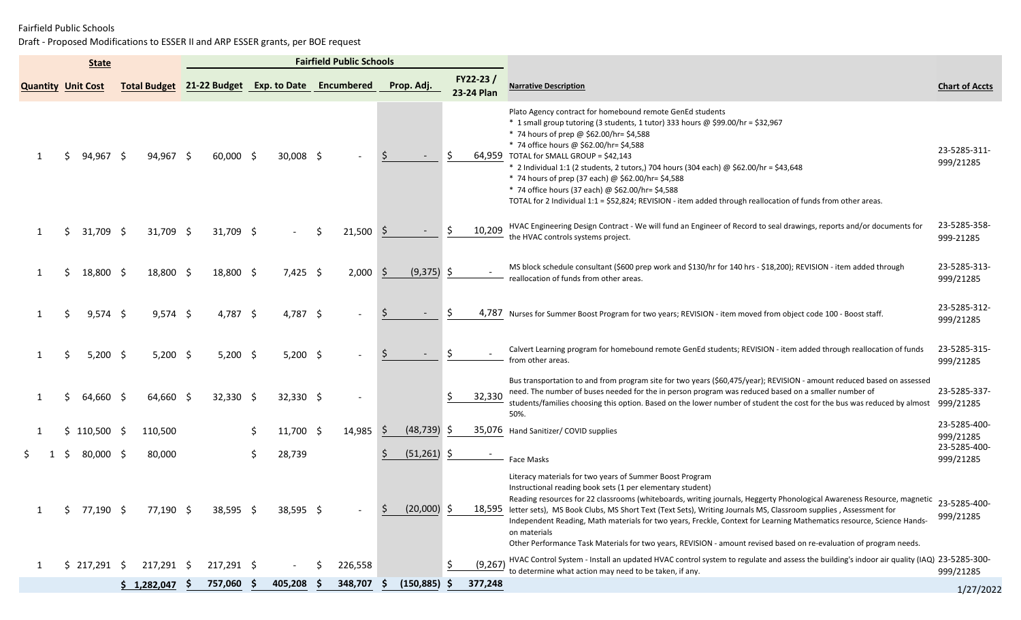|                           | <b>State</b>  |                     |                                      |    |             | <b>Fairfield Public Schools</b> |              |               |     |                        |                                                                                                                                                                                                                                                                                                                                                                                                                                                                                                                                                                                                                                                        |                           |
|---------------------------|---------------|---------------------|--------------------------------------|----|-------------|---------------------------------|--------------|---------------|-----|------------------------|--------------------------------------------------------------------------------------------------------------------------------------------------------------------------------------------------------------------------------------------------------------------------------------------------------------------------------------------------------------------------------------------------------------------------------------------------------------------------------------------------------------------------------------------------------------------------------------------------------------------------------------------------------|---------------------------|
| <b>Quantity Unit Cost</b> |               | <b>Total Budget</b> | 21-22 Budget Exp. to Date Encumbered |    |             |                                 |              | Prop. Adj.    |     | FY22-23/<br>23-24 Plan | <b>Narrative Description</b>                                                                                                                                                                                                                                                                                                                                                                                                                                                                                                                                                                                                                           | <b>Chart of Accts</b>     |
|                           | 94,967        | 94,967 \$           | $60,000$ \$                          |    | $30,008$ \$ |                                 |              |               |     |                        | Plato Agency contract for homebound remote GenEd students<br>* 1 small group tutoring (3 students, 1 tutor) 333 hours @ \$99.00/hr = \$32,967<br>* 74 hours of prep @ \$62.00/hr= \$4,588<br>* 74 office hours @ \$62.00/hr= \$4,588<br>64,959 TOTAL for SMALL GROUP = \$42,143<br>* 2 Individual 1:1 (2 students, 2 tutors,) 704 hours (304 each) @ \$62.00/hr = \$43,648<br>* 74 hours of prep (37 each) @ \$62.00/hr= \$4,588<br>* 74 office hours (37 each) @ \$62.00/hr= \$4,588<br>TOTAL for 2 Individual 1:1 = \$52,824; REVISION - item added through reallocation of funds from other areas.                                                  | 23-5285-311-<br>999/21285 |
|                           | 31,709 \$     | 31,709 \$           | 31,709 \$                            |    |             | 21,500                          | <sub>S</sub> |               |     | 10,209                 | HVAC Engineering Design Contract - We will fund an Engineer of Record to seal drawings, reports and/or documents for<br>the HVAC controls systems project.                                                                                                                                                                                                                                                                                                                                                                                                                                                                                             | 23-5285-358-<br>999-21285 |
| 1                         | 18,800 \$     | 18,800 \$           | 18,800 \$                            |    | $7,425$ \$  | $2,000$ \$                      |              | $(9,375)$ \$  |     |                        | MS block schedule consultant (\$600 prep work and \$130/hr for 140 hrs - \$18,200); REVISION - item added through<br>reallocation of funds from other areas.                                                                                                                                                                                                                                                                                                                                                                                                                                                                                           | 23-5285-313-<br>999/21285 |
| 1                         | $9,574$ \$    | $9,574$ \$          | 4,787 \$                             |    | 4,787 \$    |                                 |              |               | S   |                        | 4,787 Nurses for Summer Boost Program for two years; REVISION - item moved from object code 100 - Boost staff.                                                                                                                                                                                                                                                                                                                                                                                                                                                                                                                                         | 23-5285-312-<br>999/21285 |
|                           | $5,200$ \$    | $5,200$ \$          | $5,200$ \$                           |    | $5,200$ \$  |                                 |              |               |     |                        | Calvert Learning program for homebound remote GenEd students; REVISION - item added through reallocation of funds<br>from other areas.                                                                                                                                                                                                                                                                                                                                                                                                                                                                                                                 | 23-5285-315-<br>999/21285 |
| 1                         | 64,660 \$     | $64,660$ \$         | $32,330$ \$                          |    | $32,330$ \$ |                                 |              |               | \$  | 32,330                 | Bus transportation to and from program site for two years (\$60,475/year); REVISION - amount reduced based on assessed<br>need. The number of buses needed for the in person program was reduced based on a smaller number of<br>students/families choosing this option. Based on the lower number of student the cost for the bus was reduced by almost<br>50%.                                                                                                                                                                                                                                                                                       | 23-5285-337-<br>999/21285 |
|                           | $$110,500$ \$ | 110,500             |                                      |    | $11,700$ \$ | 14,985                          | -S           | (48, 739)     | -S  |                        | 35,076 Hand Sanitizer/ COVID supplies                                                                                                                                                                                                                                                                                                                                                                                                                                                                                                                                                                                                                  | 23-5285-400-<br>999/21285 |
|                           | 80,000 \$     | 80,000              |                                      | Ŝ. | 28,739      |                                 |              | (51, 261)     | -S  |                        | <b>Face Masks</b>                                                                                                                                                                                                                                                                                                                                                                                                                                                                                                                                                                                                                                      | 23-5285-400-<br>999/21285 |
|                           | $$77,190$ \$  | 77,190 \$           | 38,595 \$                            |    | $38,595$ \$ |                                 |              | $(20,000)$ \$ |     |                        | Literacy materials for two years of Summer Boost Program<br>Instructional reading book sets (1 per elementary student)<br>Reading resources for 22 classrooms (whiteboards, writing journals, Heggerty Phonological Awareness Resource, magnetic 23-5285-400-<br>18,595 letter sets), MS Book Clubs, MS Short Text (Text Sets), Writing Journals MS, Classroom supplies, Assessment for<br>Independent Reading, Math materials for two years, Freckle, Context for Learning Mathematics resource, Science Hands-<br>on materials<br>Other Performance Task Materials for two years, REVISION - amount revised based on re-evaluation of program needs. | 999/21285                 |
| 1                         | $$217,291$ \$ | 217,291 \$          | 217,291 \$                           |    |             | 226,558                         |              |               | \$. | (9, 267)               | HVAC Control System - Install an updated HVAC control system to regulate and assess the building's indoor air quality (IAQ) 23-5285-300-<br>to determine what action may need to be taken, if any.                                                                                                                                                                                                                                                                                                                                                                                                                                                     | 999/21285                 |
|                           |               | \$1,282,047         | 757,060 \$                           |    | 405,208     | 348,707                         |              | (150, 885)    | -S  | 377,248                |                                                                                                                                                                                                                                                                                                                                                                                                                                                                                                                                                                                                                                                        | 1/27/2022                 |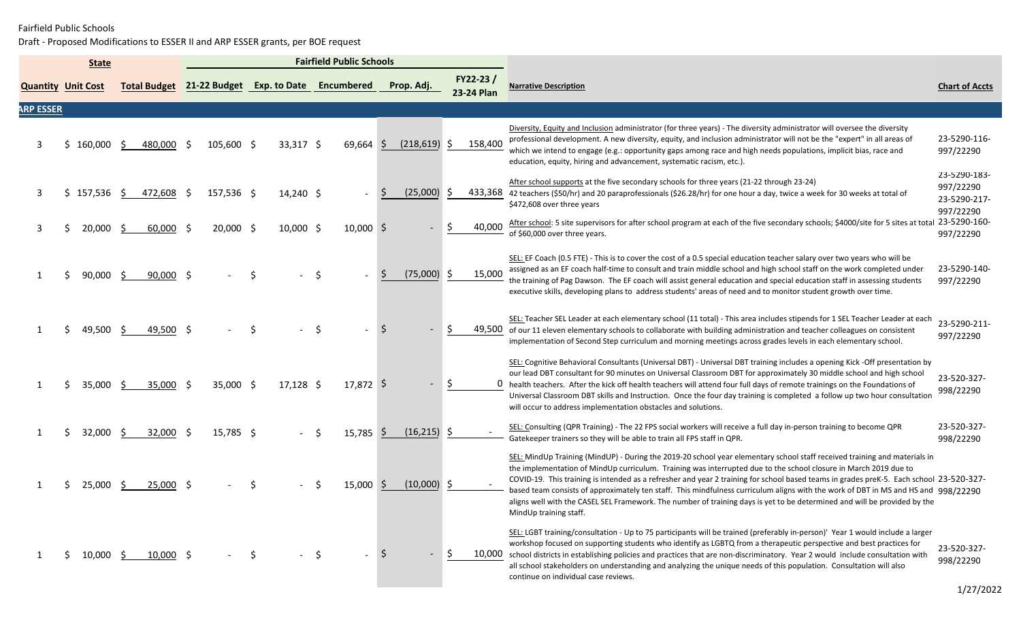|                           |    | <b>State</b> |                     | <b>Fairfield Public Schools</b> |                           |     |             |             |     |               |     |                        |                                                                                                                                                                                                                                                                                                                                                                                                                                                                                                                                                                                                                                                                                       |                                                        |
|---------------------------|----|--------------|---------------------|---------------------------------|---------------------------|-----|-------------|-------------|-----|---------------|-----|------------------------|---------------------------------------------------------------------------------------------------------------------------------------------------------------------------------------------------------------------------------------------------------------------------------------------------------------------------------------------------------------------------------------------------------------------------------------------------------------------------------------------------------------------------------------------------------------------------------------------------------------------------------------------------------------------------------------|--------------------------------------------------------|
| <b>Quantity Unit Cost</b> |    |              | <b>Total Budget</b> |                                 | 21-22 Budget Exp. to Date |     |             | Encumbered  |     | Prop. Adj.    |     | FY22-23/<br>23-24 Plan | Narrative Description                                                                                                                                                                                                                                                                                                                                                                                                                                                                                                                                                                                                                                                                 | <b>Chart of Accts</b>                                  |
| <b>ARP ESSER</b>          |    |              |                     |                                 |                           |     |             |             |     |               |     |                        |                                                                                                                                                                                                                                                                                                                                                                                                                                                                                                                                                                                                                                                                                       |                                                        |
| 3                         | S  | $160,000$ \$ | 480,000             | - S                             | 105,600 \$                |     | $33,317$ \$ | 69,664      | -S  | (218, 619)    | S   | 158,400                | Diversity, Equity and Inclusion administrator (for three years) - The diversity administrator will oversee the diversity<br>professional development. A new diversity, equity, and inclusion administrator will not be the "expert" in all areas of<br>which we intend to engage (e.g.: opportunity gaps among race and high needs populations, implicit bias, race and<br>education, equity, hiring and advancement, systematic racism, etc.).                                                                                                                                                                                                                                       | 23-5290-116-<br>997/22290                              |
| 3                         | Ś. | 157,536 \$   | 472,608 \$          |                                 | 157,536 \$                |     | $14,240$ \$ |             |     | (25,000)      | S   |                        | After school supports at the five secondary schools for three years (21-22 through 23-24)<br>433,368 42 teachers (\$50/hr) and 20 paraprofessionals (\$26.28/hr) for one hour a day, twice a week for 30 weeks at total of<br>\$472,608 over three years                                                                                                                                                                                                                                                                                                                                                                                                                              | 23-5290-183-<br>997/22290<br>23-5290-217-<br>997/22290 |
| 3                         |    | 20,000 \$    | $60,000$ \$         |                                 | 20,000 \$                 |     | $10,000$ \$ | $10,000$ \$ |     |               | S   | 40,000                 | After school: 5 site supervisors for after school program at each of the five secondary schools; \$4000/site for 5 sites at total 23-5290-160-<br>of \$60,000 over three years.                                                                                                                                                                                                                                                                                                                                                                                                                                                                                                       | 997/22290                                              |
|                           |    | 90,000       | 90,000 \$<br>- S    |                                 |                           |     |             |             |     | (75,000)      | -S  | 15,000                 | SEL: EF Coach (0.5 FTE) - This is to cover the cost of a 0.5 special education teacher salary over two years who will be<br>assigned as an EF coach half-time to consult and train middle school and high school staff on the work completed under<br>the training of Pag Dawson. The EF coach will assist general education and special education staff in assessing students<br>executive skills, developing plans to address students' areas of need and to monitor student growth over time.                                                                                                                                                                                      | 23-5290-140-<br>997/22290                              |
|                           |    | 49,500 \$    | 49,500 \$           |                                 |                           |     |             |             |     |               |     |                        | SEL: Teacher SEL Leader at each elementary school (11 total) - This area includes stipends for 1 SEL Teacher Leader at each<br>49,500 of our 11 eleven elementary schools to collaborate with building administration and teacher colleagues on consistent<br>implementation of Second Step curriculum and morning meetings across grades levels in each elementary school.                                                                                                                                                                                                                                                                                                           | 23-5290-211-<br>997/22290                              |
|                           | S  | 35,000 \$    | 35,000 \$           |                                 | 35,000 \$                 |     | $17,128$ \$ | 17,872 \$   |     |               | -\$ |                        | SEL: Cognitive Behavioral Consultants (Universal DBT) - Universal DBT training includes a opening Kick -Off presentation by<br>our lead DBT consultant for 90 minutes on Universal Classroom DBT for approximately 30 middle school and high school<br>0 health teachers. After the kick off health teachers will attend four full days of remote trainings on the Foundations of<br>Universal Classroom DBT skills and Instruction. Once the four day training is completed a follow up two hour consultation<br>will occur to address implementation obstacles and solutions.                                                                                                       | 23-520-327-<br>998/22290                               |
|                           |    | 32,000       | 32,000<br>S.        | - S                             | 15,785 \$                 |     |             | $15,785$ \$ |     | $(16,215)$ \$ |     |                        | SEL: Consulting (QPR Training) - The 22 FPS social workers will receive a full day in-person training to become QPR<br>Gatekeeper trainers so they will be able to train all FPS staff in QPR.                                                                                                                                                                                                                                                                                                                                                                                                                                                                                        | 23-520-327-<br>998/22290                               |
|                           |    | 25,000       | $25,000$ \$<br>- S  |                                 |                           |     |             | 15,000      |     | $(10,000)$ \$ |     |                        | SEL: MindUp Training (MindUP) - During the 2019-20 school year elementary school staff received training and materials in<br>the implementation of MindUp curriculum. Training was interrupted due to the school closure in March 2019 due to<br>COVID-19. This training is intended as a refresher and year 2 training for school based teams in grades preK-5. Each school 23-520-327-<br>based team consists of approximately ten staff. This mindfulness curriculum aligns with the work of DBT in MS and HS and 998/22290<br>aligns well with the CASEL SEL Framework. The number of training days is yet to be determined and will be provided by the<br>MindUp training staff. |                                                        |
|                           |    | 10,000 \$    | 10,000 \$           |                                 |                           | -\$ |             | -S          | ∣\$ |               | S.  |                        | SEL: LGBT training/consultation - Up to 75 participants will be trained (preferably in-person)' Year 1 would include a larger<br>workshop focused on supporting students who identify as LGBTQ from a therapeutic perspective and best practices for<br>10,000 school districts in establishing policies and practices that are non-discriminatory. Year 2 would include consultation with<br>all school stakeholders on understanding and analyzing the unique needs of this population. Consultation will also<br>continue on individual case reviews.                                                                                                                              | 23-520-327-<br>998/22290<br>$\sqrt{2}$                 |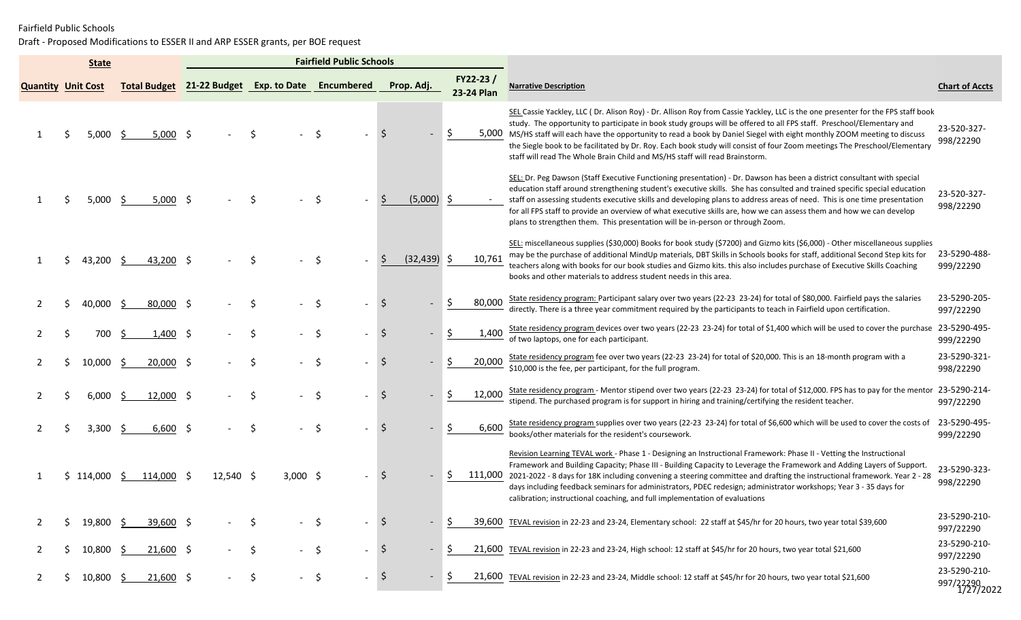|                           | <b>State</b>         |                     |             |                                      | <b>Fairfield Public Schools</b> |                |                          |                                                                                                                                                                                                                                                                                                                                                                                                                                                                                                                                                                                                     |                                        |
|---------------------------|----------------------|---------------------|-------------|--------------------------------------|---------------------------------|----------------|--------------------------|-----------------------------------------------------------------------------------------------------------------------------------------------------------------------------------------------------------------------------------------------------------------------------------------------------------------------------------------------------------------------------------------------------------------------------------------------------------------------------------------------------------------------------------------------------------------------------------------------------|----------------------------------------|
| <b>Quantity Unit Cost</b> |                      | <b>Total Budget</b> |             | 21-22 Budget Exp. to Date Encumbered |                                 | Prop. Adj.     | $FY22-23/$<br>23-24 Plan | <b>Narrative Description</b>                                                                                                                                                                                                                                                                                                                                                                                                                                                                                                                                                                        | <b>Chart of Accts</b>                  |
|                           | 5,000                | $5,000$ \$<br>-S    |             |                                      |                                 |                |                          | SEL Cassie Yackley, LLC (Dr. Alison Roy) - Dr. Allison Roy from Cassie Yackley, LLC is the one presenter for the FPS staff book<br>study. The opportunity to participate in book study groups will be offered to all FPS staff. Preschool/Elementary and<br>5,000 MS/HS staff will each have the opportunity to read a book by Daniel Siegel with eight monthly ZOOM meeting to discuss<br>the Siegle book to be facilitated by Dr. Roy. Each book study will consist of four Zoom meetings The Preschool/Elementary<br>staff will read The Whole Brain Child and MS/HS staff will read Brainstorm. | 23-520-327-<br>998/22290               |
|                           | 5,000                | $5,000$ \$<br>-S    |             |                                      |                                 | (5,000)        | -S                       | SEL: Dr. Peg Dawson (Staff Executive Functioning presentation) - Dr. Dawson has been a district consultant with special<br>education staff around strengthening student's executive skills. She has consulted and trained specific special education<br>staff on assessing students executive skills and developing plans to address areas of need. This is one time presentation<br>for all FPS staff to provide an overview of what executive skills are, how we can assess them and how we can develop<br>plans to strengthen them. This presentation will be in-person or through Zoom.         | 23-520-327-<br>998/22290               |
|                           | 43,200 \$            | 43,200 \$           |             |                                      |                                 | (32, 439)      | 10,761                   | SEL: miscellaneous supplies (\$30,000) Books for book study (\$7200) and Gizmo kits (\$6,000) - Other miscellaneous supplies<br>may be the purchase of additional MindUp materials, DBT Skills in Schools books for staff, additional Second Step kits for<br>teachers along with books for our book studies and Gizmo kits. this also includes purchase of Executive Skills Coaching<br>books and other materials to address student needs in this area.                                                                                                                                           | 23-5290-488-<br>999/22290              |
|                           | 40,000               | 80,000 \$<br>-S     |             |                                      | \$                              | $\zeta$        | 80,000                   | State residency program: Participant salary over two years (22-23 23-24) for total of \$80,000. Fairfield pays the salaries<br>directly. There is a three year commitment required by the participants to teach in Fairfield upon certification.                                                                                                                                                                                                                                                                                                                                                    | 23-5290-205-<br>997/22290              |
|                           | 700                  | 1,400 \$<br>-S      |             |                                      | -\$                             | \$             | 1,400                    | State residency program devices over two years (22-23 23-24) for total of \$1,400 which will be used to cover the purchase<br>of two laptops, one for each participant.                                                                                                                                                                                                                                                                                                                                                                                                                             | 23-5290-495-<br>999/22290              |
|                           | 10,000               | $20,000$ \$<br>-S   |             | Ś                                    | -\$                             | \$             | 20,000                   | State residency program fee over two years (22-23 23-24) for total of \$20,000. This is an 18-month program with a<br>\$10,000 is the fee, per participant, for the full program.                                                                                                                                                                                                                                                                                                                                                                                                                   | 23-5290-321-<br>998/22290              |
|                           | 6,000                | $12,000$ \$<br>-S   |             | S.                                   | \$.                             | Ŝ.             | 12,000                   | State residency program - Mentor stipend over two years (22-23 23-24) for total of \$12,000. FPS has to pay for the mentor<br>stipend. The purchased program is for support in hiring and training/certifying the resident teacher.                                                                                                                                                                                                                                                                                                                                                                 | 23-5290-214-<br>997/22290              |
|                           | 3.300                | 6,600 \$<br>-S      |             |                                      |                                 | <sub>S</sub>   | 6,600                    | State residency program supplies over two years (22-23 23-24) for total of \$6,600 which will be used to cover the costs of<br>books/other materials for the resident's coursework.                                                                                                                                                                                                                                                                                                                                                                                                                 | 23-5290-495-<br>999/22290              |
|                           | 114,000 \$           | 114,000             | $12,540$ \$ | $3,000$ \$                           |                                 | <sub>S</sub>   |                          | Revision Learning TEVAL work - Phase 1 - Designing an Instructional Framework: Phase II - Vetting the Instructional<br>Framework and Building Capacity; Phase III - Building Capacity to Leverage the Framework and Adding Layers of Support.<br>111,000 2021-2022 - 8 days for 18K including convening a steering committee and drafting the instructional framework. Year 2 - 28<br>days including feedback seminars for administrators, PDEC redesign; administrator workshops; Year 3 - 35 days for<br>calibration; instructional coaching, and full implementation of evaluations              | 23-5290-323-<br>998/22290              |
| 2                         | 19,800 \$            | 39,600 \$           |             |                                      | -\$                             | $\ddot{\zeta}$ |                          | 39,600 TEVAL revision in 22-23 and 23-24, Elementary school: 22 staff at \$45/hr for 20 hours, two year total \$39,600                                                                                                                                                                                                                                                                                                                                                                                                                                                                              | 23-5290-210-<br>997/22290              |
| $\mathbf{2}$              | $10,800 \frac{5}{5}$ | $21,600$ \$         |             | $-$ \$<br>\$                         | $\sim$                          | $\ddot{\circ}$ | S                        | 21,600 TEVAL revision in 22-23 and 23-24, High school: 12 staff at \$45/hr for 20 hours, two year total \$21,600                                                                                                                                                                                                                                                                                                                                                                                                                                                                                    | 23-5290-210-<br>997/22290              |
| 2                         | $10,800 \leq$        | $21,600$ \$         |             | \$<br>$-$ \$                         | $\sim$                          | $\frac{1}{2}$  | S.                       | 21,600 TEVAL revision in 22-23 and 23-24, Middle school: 12 staff at \$45/hr for 20 hours, two year total \$21,600                                                                                                                                                                                                                                                                                                                                                                                                                                                                                  | 23-5290-210-<br>997/22290<br>1/27/2022 |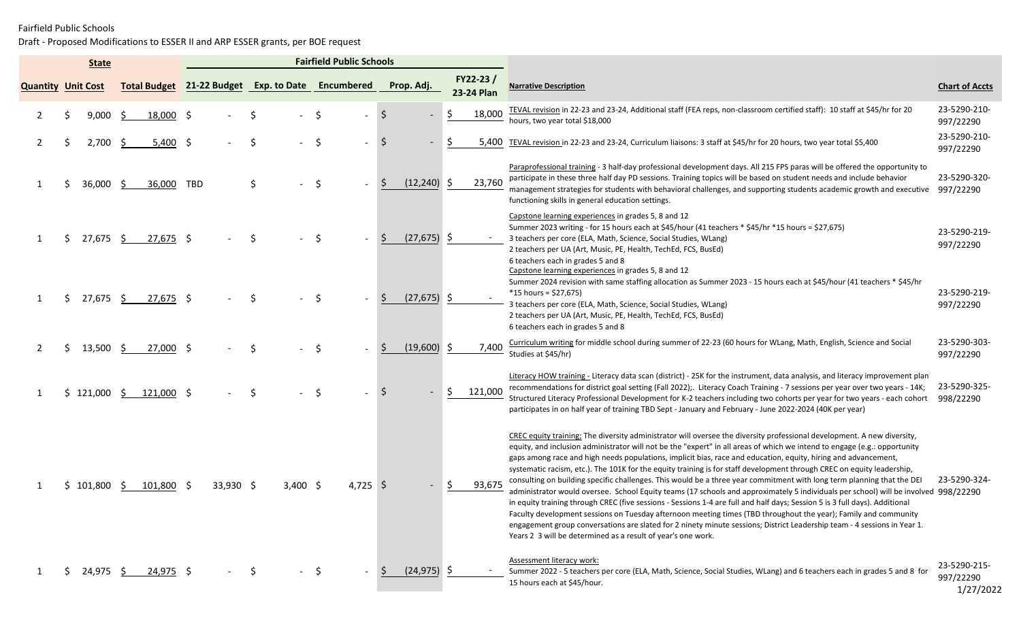|                           | <b>State</b> |    |             |                                                   |             |    |            | <b>Fairfield Public Schools</b> |          |                |                        |                                                                                                                                                                                                                                                                                                                                                                                                                                                                                                                                                                                                                                                                                                                                                                                                                                                                                                                                                                                                                                                                                                                                                                                                                 |                                        |
|---------------------------|--------------|----|-------------|---------------------------------------------------|-------------|----|------------|---------------------------------|----------|----------------|------------------------|-----------------------------------------------------------------------------------------------------------------------------------------------------------------------------------------------------------------------------------------------------------------------------------------------------------------------------------------------------------------------------------------------------------------------------------------------------------------------------------------------------------------------------------------------------------------------------------------------------------------------------------------------------------------------------------------------------------------------------------------------------------------------------------------------------------------------------------------------------------------------------------------------------------------------------------------------------------------------------------------------------------------------------------------------------------------------------------------------------------------------------------------------------------------------------------------------------------------|----------------------------------------|
| <b>Quantity Unit Cost</b> |              |    |             | Total Budget 21-22 Budget Exp. to Date Encumbered |             |    |            |                                 |          | Prop. Adj.     | FY22-23/<br>23-24 Plan | <b>Narrative Description</b>                                                                                                                                                                                                                                                                                                                                                                                                                                                                                                                                                                                                                                                                                                                                                                                                                                                                                                                                                                                                                                                                                                                                                                                    | <b>Chart of Accts</b>                  |
|                           | 9,000        | -S | 18,000 \$   |                                                   |             | Ś  |            | -\$                             |          | -S             | 18,000                 | TEVAL revision in 22-23 and 23-24, Additional staff (FEA reps, non-classroom certified staff): 10 staff at \$45/hr for 20<br>hours, two year total \$18,000                                                                                                                                                                                                                                                                                                                                                                                                                                                                                                                                                                                                                                                                                                                                                                                                                                                                                                                                                                                                                                                     | 23-5290-210-<br>997/22290              |
|                           | 2,700        | Ŝ. | $5,400$ \$  |                                                   |             | Ŝ. |            | \$                              |          | -S             | 5,400                  | TEVAL revision in 22-23 and 23-24, Curriculum liaisons: 3 staff at \$45/hr for 20 hours, two year total \$5,400                                                                                                                                                                                                                                                                                                                                                                                                                                                                                                                                                                                                                                                                                                                                                                                                                                                                                                                                                                                                                                                                                                 | 23-5290-210-<br>997/22290              |
|                           | 36,000       | -S | 36,000      | TBD                                               |             | \$ |            | $\zeta$                         |          | (12, 240)      | 23,760<br>-S           | Paraprofessional training - 3 half-day professional development days. All 215 FPS paras will be offered the opportunity to<br>participate in these three half day PD sessions. Training topics will be based on student needs and include behavior<br>management strategies for students with behavioral challenges, and supporting students academic growth and executive<br>functioning skills in general education settings.                                                                                                                                                                                                                                                                                                                                                                                                                                                                                                                                                                                                                                                                                                                                                                                 | 23-5290-320-<br>997/22290              |
|                           | 27,675 \$    |    | $27,675$ \$ |                                                   |             |    |            |                                 |          | $(27, 675)$ \$ |                        | Capstone learning experiences in grades 5, 8 and 12<br>Summer 2023 writing - for 15 hours each at \$45/hour (41 teachers * \$45/hr *15 hours = \$27,675)<br>3 teachers per core (ELA, Math, Science, Social Studies, WLang)<br>2 teachers per UA (Art, Music, PE, Health, TechEd, FCS, BusEd)<br>6 teachers each in grades 5 and 8<br>Capstone learning experiences in grades 5, 8 and 12                                                                                                                                                                                                                                                                                                                                                                                                                                                                                                                                                                                                                                                                                                                                                                                                                       | 23-5290-219-<br>997/22290              |
|                           | 27,675 \$    |    | $27,675$ \$ |                                                   |             |    |            |                                 |          | $(27,675)$ \$  |                        | Summer 2024 revision with same staffing allocation as Summer 2023 - 15 hours each at \$45/hour (41 teachers * \$45/hr<br>$*15$ hours = \$27,675)<br>3 teachers per core (ELA, Math, Science, Social Studies, WLang)<br>2 teachers per UA (Art, Music, PE, Health, TechEd, FCS, BusEd)<br>6 teachers each in grades 5 and 8                                                                                                                                                                                                                                                                                                                                                                                                                                                                                                                                                                                                                                                                                                                                                                                                                                                                                      | 23-5290-219-<br>997/22290              |
|                           | 13,500       | S. | 27,000 \$   |                                                   |             | S  |            |                                 |          | $(19,600)$ \$  | 7,400                  | Curriculum writing for middle school during summer of 22-23 (60 hours for WLang, Math, English, Science and Social<br>Studies at \$45/hr)                                                                                                                                                                                                                                                                                                                                                                                                                                                                                                                                                                                                                                                                                                                                                                                                                                                                                                                                                                                                                                                                       | 23-5290-303-<br>997/22290              |
|                           | \$121,000    | -S | 121,000 \$  |                                                   |             |    |            | Ś,                              |          |                | 121,000                | Literacy HOW training - Literacy data scan (district) - 25K for the instrument, data analysis, and literacy improvement plan<br>recommendations for district goal setting (Fall 2022); Literacy Coach Training - 7 sessions per year over two years - 14K;<br>Structured Literacy Professional Development for K-2 teachers including two cohorts per year for two years - each cohort<br>participates in on half year of training TBD Sept - January and February - June 2022-2024 (40K per year)                                                                                                                                                                                                                                                                                                                                                                                                                                                                                                                                                                                                                                                                                                              | 23-5290-325-<br>998/22290              |
|                           | 101,800      |    | 101,800 \$  |                                                   | $33,930$ \$ |    | $3,400$ \$ |                                 | 4,725 \$ |                | 93,675                 | CREC equity training; The diversity administrator will oversee the diversity professional development. A new diversity,<br>equity, and inclusion administrator will not be the "expert" in all areas of which we intend to engage (e.g.: opportunity<br>gaps among race and high needs populations, implicit bias, race and education, equity, hiring and advancement,<br>systematic racism, etc.). The 101K for the equity training is for staff development through CREC on equity leadership,<br>consulting on building specific challenges. This would be a three year commitment with long term planning that the DEI<br>administrator would oversee. School Equity teams (17 schools and approximately 5 individuals per school) will be involved 998/22290<br>in equity training through CREC (five sessions - Sessions 1-4 are full and half days; Session 5 is 3 full days). Additional<br>Faculty development sessions on Tuesday afternoon meeting times (TBD throughout the year); Family and community<br>engagement group conversations are slated for 2 ninety minute sessions; District Leadership team - 4 sessions in Year 1.<br>Years 2 3 will be determined as a result of year's one work. | 23-5290-324-                           |
|                           | 24,975 \$    |    | 24,975 \$   |                                                   |             | S. |            | - \$                            |          | $(24, 975)$ \$ |                        | Assessment literacy work:<br>Summer 2022 - 5 teachers per core (ELA, Math, Science, Social Studies, WLang) and 6 teachers each in grades 5 and 8 for<br>15 hours each at \$45/hour.                                                                                                                                                                                                                                                                                                                                                                                                                                                                                                                                                                                                                                                                                                                                                                                                                                                                                                                                                                                                                             | 23-5290-215-<br>997/22290<br>1/27/2022 |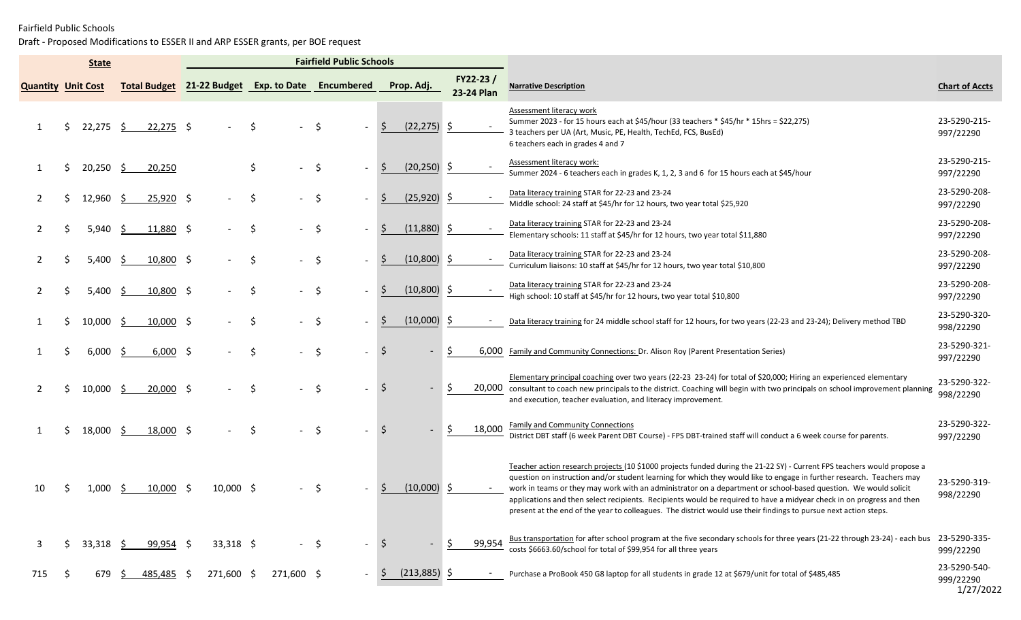|                           |    | <b>State</b> |    |                     | <b>Fairfield Public Schools</b> |             |     |            |        |                                      |                     |                |                        |        |                                                                                                                                                                                                                                                                                                                                                                                                                                                                                                                                                                                                                  |                                        |
|---------------------------|----|--------------|----|---------------------|---------------------------------|-------------|-----|------------|--------|--------------------------------------|---------------------|----------------|------------------------|--------|------------------------------------------------------------------------------------------------------------------------------------------------------------------------------------------------------------------------------------------------------------------------------------------------------------------------------------------------------------------------------------------------------------------------------------------------------------------------------------------------------------------------------------------------------------------------------------------------------------------|----------------------------------------|
| <b>Quantity Unit Cost</b> |    |              |    | <b>Total Budget</b> |                                 |             |     |            |        | 21-22 Budget Exp. to Date Encumbered |                     | Prop. Adj.     | FY22-23/<br>23-24 Plan |        | <b>Narrative Description</b>                                                                                                                                                                                                                                                                                                                                                                                                                                                                                                                                                                                     | <b>Chart of Accts</b>                  |
|                           |    | 22,275       | -S | $22,275$ \$         |                                 |             |     |            | .S     |                                      |                     | $(22, 275)$ \$ |                        |        | Assessment literacy work<br>Summer 2023 - for 15 hours each at \$45/hour (33 teachers * \$45/hr * 15hrs = \$22,275)<br>3 teachers per UA (Art, Music, PE, Health, TechEd, FCS, BusEd)<br>6 teachers each in grades 4 and 7                                                                                                                                                                                                                                                                                                                                                                                       | 23-5290-215-<br>997/22290              |
|                           |    | $20,250$ \$  |    | 20,250              |                                 |             | \$  |            | \$     |                                      | S                   | $(20, 250)$ \$ |                        |        | Assessment literacy work:<br>Summer 2024 - 6 teachers each in grades K, 1, 2, 3 and 6 for 15 hours each at \$45/hour                                                                                                                                                                                                                                                                                                                                                                                                                                                                                             | 23-5290-215-<br>997/22290              |
|                           |    | 12,960 \$    |    | $25,920$ \$         |                                 |             | S   |            | \$     |                                      | Ŝ                   | $(25,920)$ \$  |                        |        | Data literacy training STAR for 22-23 and 23-24<br>Middle school: 24 staff at \$45/hr for 12 hours, two year total \$25,920                                                                                                                                                                                                                                                                                                                                                                                                                                                                                      | 23-5290-208-<br>997/22290              |
|                           |    | 5,940        | S. | 11,880 \$           |                                 |             | \$  |            | \$     |                                      | S                   | $(11,880)$ \$  |                        |        | Data literacy training STAR for 22-23 and 23-24<br>Elementary schools: 11 staff at \$45/hr for 12 hours, two year total \$11,880                                                                                                                                                                                                                                                                                                                                                                                                                                                                                 | 23-5290-208-<br>997/22290              |
|                           |    | 5,400        | -S | $10,800$ \$         |                                 |             | \$  |            | \$     |                                      | S                   | $(10,800)$ \$  |                        |        | Data literacy training STAR for 22-23 and 23-24<br>Curriculum liaisons: 10 staff at \$45/hr for 12 hours, two year total \$10,800                                                                                                                                                                                                                                                                                                                                                                                                                                                                                | 23-5290-208-<br>997/22290              |
|                           |    | 5,400        | -Ŝ | 10,800 \$           |                                 |             | \$  |            | \$     |                                      | S                   | $(10,800)$ \$  |                        |        | Data literacy training STAR for 22-23 and 23-24<br>High school: 10 staff at \$45/hr for 12 hours, two year total \$10,800                                                                                                                                                                                                                                                                                                                                                                                                                                                                                        | 23-5290-208-<br>997/22290              |
|                           |    | 10,000       | -S | $10,000$ \$         |                                 |             | \$. |            | \$     |                                      | <sub>S</sub>        | $(10,000)$ \$  |                        | $\sim$ | Data literacy training for 24 middle school staff for 12 hours, for two years (22-23 and 23-24); Delivery method TBD                                                                                                                                                                                                                                                                                                                                                                                                                                                                                             | 23-5290-320-<br>998/22290              |
|                           |    | 6,000        | -S | $6,000$ \$          |                                 |             | \$  |            | \$     |                                      | \$                  |                | S.                     | 6,000  | Family and Community Connections: Dr. Alison Roy (Parent Presentation Series)                                                                                                                                                                                                                                                                                                                                                                                                                                                                                                                                    | 23-5290-321-<br>997/22290              |
|                           |    | 10,000       | -S | $20,000$ \$         |                                 |             | Ŝ   |            | \$     |                                      | Ŝ.                  |                |                        |        | Elementary principal coaching over two years (22-23 23-24) for total of \$20,000; Hiring an experienced elementary<br>20,000 consultant to coach new principals to the district. Coaching will begin with two principals on school improvement planning<br>and execution, teacher evaluation, and literacy improvement.                                                                                                                                                                                                                                                                                          | 23-5290-322-<br>998/22290              |
|                           |    | 18,000       | -S | 18,000 \$           |                                 |             |     |            | .S     |                                      |                     |                |                        | 18,000 | <b>Family and Community Connections</b><br>District DBT staff (6 week Parent DBT Course) - FPS DBT-trained staff will conduct a 6 week course for parents.                                                                                                                                                                                                                                                                                                                                                                                                                                                       | 23-5290-322-<br>997/22290              |
| 10                        |    | 1,000        | -S | $10,000$ \$         |                                 | $10,000$ \$ |     |            |        |                                      |                     | $(10,000)$ \$  |                        |        | Teacher action research projects (10 \$1000 projects funded during the 21-22 SY) - Current FPS teachers would propose a<br>question on instruction and/or student learning for which they would like to engage in further research. Teachers may<br>work in teams or they may work with an administrator on a department or school-based question. We would solicit<br>applications and then select recipients. Recipients would be required to have a midyear check in on progress and then<br>present at the end of the year to colleagues. The district would use their findings to pursue next action steps. | 23-5290-319-<br>998/22290              |
| 3                         |    | $33,318$ \$  |    | 99,954 \$           |                                 | $33,318$ \$ |     |            | $-$ \$ | $\sim$                               | $\ddot{\mathsf{S}}$ |                | \$.                    | 99,954 | Bus transportation for after school program at the five secondary schools for three years (21-22 through 23-24) - each bus<br>costs \$6663.60/school for total of \$99,954 for all three years                                                                                                                                                                                                                                                                                                                                                                                                                   | 23-5290-335-<br>999/22290              |
| 715                       | .S | 679 \$       |    | 485,485 \$          |                                 | 271,600 \$  |     | 271,600 \$ |        |                                      | <sub>S</sub>        | $(213,885)$ \$ |                        | $\sim$ | Purchase a ProBook 450 G8 laptop for all students in grade 12 at \$679/unit for total of \$485,485                                                                                                                                                                                                                                                                                                                                                                                                                                                                                                               | 23-5290-540-<br>999/22290<br>1/27/2022 |